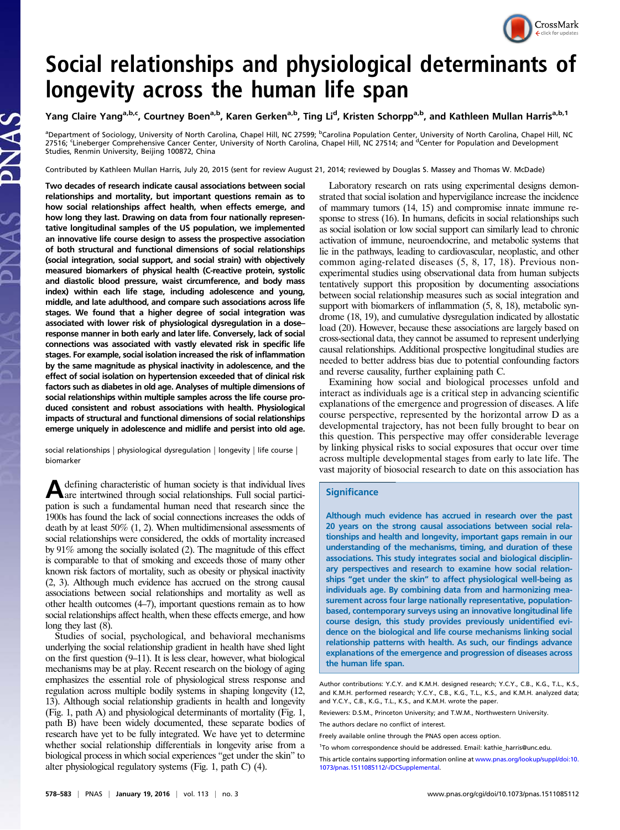

# Social relationships and physiological determinants of longevity across the human life span

Yang Claire Yang<sup>a,b,c</sup>, Courtney Boen<sup>a,b</sup>, Karen Gerken<sup>a,b</sup>, Ting Li<sup>d</sup>, Kristen Schorpp<sup>a,b</sup>, and Kathleen Mullan Harris<sup>a,b,1</sup>

<sup>a</sup>Department of Sociology, University of North Carolina, Chapel Hill, NC 27599; <sup>b</sup>Carolina Population Center, University of North Carolina, Chapel Hill, NC<br>27516; ʿLineberger Comprehensive Cancer Center, University of No Studies, Renmin University, Beijing 100872, China

Contributed by Kathleen Mullan Harris, July 20, 2015 (sent for review August 21, 2014; reviewed by Douglas S. Massey and Thomas W. McDade)

Two decades of research indicate causal associations between social relationships and mortality, but important questions remain as to how social relationships affect health, when effects emerge, and how long they last. Drawing on data from four nationally representative longitudinal samples of the US population, we implemented an innovative life course design to assess the prospective association of both structural and functional dimensions of social relationships (social integration, social support, and social strain) with objectively measured biomarkers of physical health (C-reactive protein, systolic and diastolic blood pressure, waist circumference, and body mass index) within each life stage, including adolescence and young, middle, and late adulthood, and compare such associations across life stages. We found that a higher degree of social integration was associated with lower risk of physiological dysregulation in a dose– response manner in both early and later life. Conversely, lack of social connections was associated with vastly elevated risk in specific life stages. For example, social isolation increased the risk of inflammation by the same magnitude as physical inactivity in adolescence, and the effect of social isolation on hypertension exceeded that of clinical risk factors such as diabetes in old age. Analyses of multiple dimensions of social relationships within multiple samples across the life course produced consistent and robust associations with health. Physiological impacts of structural and functional dimensions of social relationships emerge uniquely in adolescence and midlife and persist into old age.

social relationships | physiological dysregulation | longevity | life course | biomarker

Adefining characteristic of human society is that individual lives are intertwined through social relationships. Full social participation is such a fundamental human need that research since the 1900s has found the lack of social connections increases the odds of death by at least 50% (1, 2). When multidimensional assessments of social relationships were considered, the odds of mortality increased by 91% among the socially isolated (2). The magnitude of this effect is comparable to that of smoking and exceeds those of many other known risk factors of mortality, such as obesity or physical inactivity (2, 3). Although much evidence has accrued on the strong causal associations between social relationships and mortality as well as other health outcomes (4–7), important questions remain as to how social relationships affect health, when these effects emerge, and how long they last (8).

Studies of social, psychological, and behavioral mechanisms underlying the social relationship gradient in health have shed light on the first question (9–11). It is less clear, however, what biological mechanisms may be at play. Recent research on the biology of aging emphasizes the essential role of physiological stress response and regulation across multiple bodily systems in shaping longevity (12, 13). Although social relationship gradients in health and longevity (Fig. 1, path A) and physiological determinants of mortality (Fig. 1, path B) have been widely documented, these separate bodies of research have yet to be fully integrated. We have yet to determine whether social relationship differentials in longevity arise from a biological process in which social experiences "get under the skin" to alter physiological regulatory systems (Fig. 1, path C) (4).

Laboratory research on rats using experimental designs demonstrated that social isolation and hypervigilance increase the incidence of mammary tumors (14, 15) and compromise innate immune response to stress (16). In humans, deficits in social relationships such as social isolation or low social support can similarly lead to chronic activation of immune, neuroendocrine, and metabolic systems that lie in the pathways, leading to cardiovascular, neoplastic, and other common aging-related diseases (5, 8, 17, 18). Previous nonexperimental studies using observational data from human subjects tentatively support this proposition by documenting associations between social relationship measures such as social integration and support with biomarkers of inflammation (5, 8, 18), metabolic syndrome (18, 19), and cumulative dysregulation indicated by allostatic load (20). However, because these associations are largely based on cross-sectional data, they cannot be assumed to represent underlying causal relationships. Additional prospective longitudinal studies are needed to better address bias due to potential confounding factors and reverse causality, further explaining path C.

Examining how social and biological processes unfold and interact as individuals age is a critical step in advancing scientific explanations of the emergence and progression of diseases. A life course perspective, represented by the horizontal arrow D as a developmental trajectory, has not been fully brought to bear on this question. This perspective may offer considerable leverage by linking physical risks to social exposures that occur over time across multiple developmental stages from early to late life. The vast majority of biosocial research to date on this association has

## **Significance**

Although much evidence has accrued in research over the past 20 years on the strong causal associations between social relationships and health and longevity, important gaps remain in our understanding of the mechanisms, timing, and duration of these associations. This study integrates social and biological disciplinary perspectives and research to examine how social relationships "get under the skin" to affect physiological well-being as individuals age. By combining data from and harmonizing measurement across four large nationally representative, populationbased, contemporary surveys using an innovative longitudinal life course design, this study provides previously unidentified evidence on the biological and life course mechanisms linking social relationship patterns with health. As such, our findings advance explanations of the emergence and progression of diseases across the human life span.

Author contributions: Y.C.Y. and K.M.H. designed research; Y.C.Y., C.B., K.G., T.L., K.S., and K.M.H. performed research; Y.C.Y., C.B., K.G., T.L., K.S., and K.M.H. analyzed data; and Y.C.Y., C.B., K.G., T.L., K.S., and K.M.H. wrote the paper.

Reviewers: D.S.M., Princeton University; and T.W.M., Northwestern University.

The authors declare no conflict of interest.

Freely available online through the PNAS open access option.

<sup>1</sup>To whom correspondence should be addressed. Email: [kathie\\_harris@unc.edu](mailto:kathie_harris@unc.edu).

This article contains supporting information online at [www.pnas.org/lookup/suppl/doi:10.](http://www.pnas.org/lookup/suppl/doi:10.1073/pnas.1511085112/-/DCSupplemental) [1073/pnas.1511085112/-/DCSupplemental.](http://www.pnas.org/lookup/suppl/doi:10.1073/pnas.1511085112/-/DCSupplemental)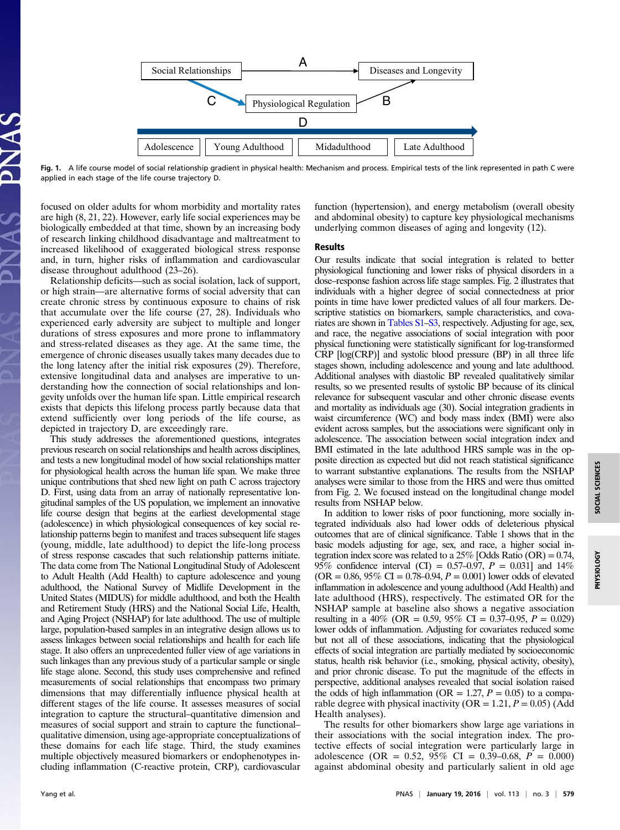

Fig. 1. A life course model of social relationship gradient in physical health: Mechanism and process. Empirical tests of the link represented in path C were applied in each stage of the life course trajectory D.

focused on older adults for whom morbidity and mortality rates are high (8, 21, 22). However, early life social experiences may be biologically embedded at that time, shown by an increasing body of research linking childhood disadvantage and maltreatment to increased likelihood of exaggerated biological stress response and, in turn, higher risks of inflammation and cardiovascular disease throughout adulthood (23–26).

Relationship deficits—such as social isolation, lack of support, or high strain—are alternative forms of social adversity that can create chronic stress by continuous exposure to chains of risk that accumulate over the life course  $(27, 28)$ . Individuals who experienced early adversity are subject to multiple and longer durations of stress exposures and more prone to inflammatory and stress-related diseases as they age. At the same time, the emergence of chronic diseases usually takes many decades due to the long latency after the initial risk exposures (29). Therefore, extensive longitudinal data and analyses are imperative to understanding how the connection of social relationships and longevity unfolds over the human life span. Little empirical research exists that depicts this lifelong process partly because data that extend sufficiently over long periods of the life course, as depicted in trajectory D, are exceedingly rare.

This study addresses the aforementioned questions, integrates previous research on social relationships and health across disciplines, and tests a new longitudinal model of how social relationships matter for physiological health across the human life span. We make three unique contributions that shed new light on path C across trajectory D. First, using data from an array of nationally representative longitudinal samples of the US population, we implement an innovative life course design that begins at the earliest developmental stage (adolescence) in which physiological consequences of key social relationship patterns begin to manifest and traces subsequent life stages (young, middle, late adulthood) to depict the life-long process of stress response cascades that such relationship patterns initiate. The data come from The National Longitudinal Study of Adolescent to Adult Health (Add Health) to capture adolescence and young adulthood, the National Survey of Midlife Development in the United States (MIDUS) for middle adulthood, and both the Health and Retirement Study (HRS) and the National Social Life, Health, and Aging Project (NSHAP) for late adulthood. The use of multiple large, population-based samples in an integrative design allows us to assess linkages between social relationships and health for each life stage. It also offers an unprecedented fuller view of age variations in such linkages than any previous study of a particular sample or single life stage alone. Second, this study uses comprehensive and refined measurements of social relationships that encompass two primary dimensions that may differentially influence physical health at different stages of the life course. It assesses measures of social integration to capture the structural–quantitative dimension and measures of social support and strain to capture the functional– qualitative dimension, using age-appropriate conceptualizations of these domains for each life stage. Third, the study examines multiple objectively measured biomarkers or endophenotypes including inflammation (C-reactive protein, CRP), cardiovascular

function (hypertension), and energy metabolism (overall obesity and abdominal obesity) to capture key physiological mechanisms underlying common diseases of aging and longevity (12).

### Results

Our results indicate that social integration is related to better physiological functioning and lower risks of physical disorders in a dose–response fashion across life stage samples. Fig. 2 illustrates that individuals with a higher degree of social connectedness at prior points in time have lower predicted values of all four markers. Descriptive statistics on biomarkers, sample characteristics, and covariates are shown in [Tables S1](http://www.pnas.org/lookup/suppl/doi:10.1073/pnas.1511085112/-/DCSupplemental/pnas.201511085SI.pdf?targetid=nameddest=ST1)–[S3](http://www.pnas.org/lookup/suppl/doi:10.1073/pnas.1511085112/-/DCSupplemental/pnas.201511085SI.pdf?targetid=nameddest=ST3), respectively. Adjusting for age, sex, and race, the negative associations of social integration with poor physical functioning were statistically significant for log-transformed CRP [log(CRP)] and systolic blood pressure (BP) in all three life stages shown, including adolescence and young and late adulthood. Additional analyses with diastolic BP revealed qualitatively similar results, so we presented results of systolic BP because of its clinical relevance for subsequent vascular and other chronic disease events and mortality as individuals age (30). Social integration gradients in waist circumference (WC) and body mass index (BMI) were also evident across samples, but the associations were significant only in adolescence. The association between social integration index and BMI estimated in the late adulthood HRS sample was in the opposite direction as expected but did not reach statistical significance to warrant substantive explanations. The results from the NSHAP analyses were similar to those from the HRS and were thus omitted from Fig. 2. We focused instead on the longitudinal change model results from NSHAP below.

In addition to lower risks of poor functioning, more socially integrated individuals also had lower odds of deleterious physical outcomes that are of clinical significance. Table 1 shows that in the basic models adjusting for age, sex, and race, a higher social integration index score was related to a  $25\%$  [Odds Ratio (OR) = 0.74, 95% confidence interval (CI) = 0.57–0.97,  $P = 0.031$ ] and 14%  $(OR = 0.86, 95\% \text{ CI} = 0.78{\text -}0.94, P = 0.001)$  lower odds of elevated inflammation in adolescence and young adulthood (Add Health) and late adulthood (HRS), respectively. The estimated OR for the NSHAP sample at baseline also shows a negative association resulting in a 40% (OR = 0.59, 95% CI = 0.37–0.95,  $P = 0.029$ ) lower odds of inflammation. Adjusting for covariates reduced some but not all of these associations, indicating that the physiological effects of social integration are partially mediated by socioeconomic status, health risk behavior (i.e., smoking, physical activity, obesity), and prior chronic disease. To put the magnitude of the effects in perspective, additional analyses revealed that social isolation raised the odds of high inflammation ( $OR = 1.27$ ,  $P = 0.05$ ) to a comparable degree with physical inactivity ( $OR = 1.21, P = 0.05$ ) (Add Health analyses).

The results for other biomarkers show large age variations in their associations with the social integration index. The protective effects of social integration were particularly large in adolescence (OR = 0.52,  $95\%$  CI = 0.39–0.68,  $P = 0.000$ ) against abdominal obesity and particularly salient in old age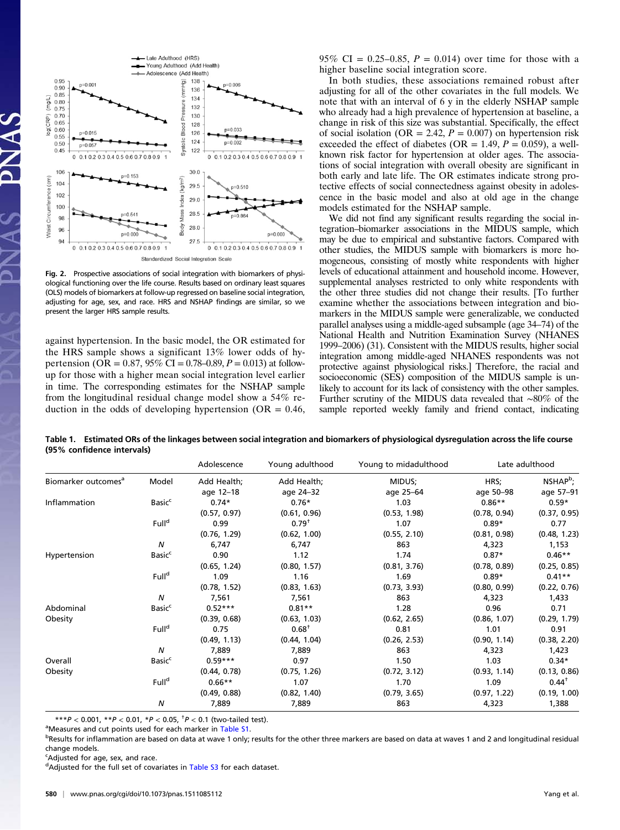

Fig. 2. Prospective associations of social integration with biomarkers of physiological functioning over the life course. Results based on ordinary least squares (OLS) models of biomarkers at follow-up regressed on baseline social integration, adjusting for age, sex, and race. HRS and NSHAP findings are similar, so we present the larger HRS sample results.

against hypertension. In the basic model, the OR estimated for the HRS sample shows a significant 13% lower odds of hypertension (OR =  $0.87$ , 95% CI =  $0.78-0.89$ ,  $P = 0.013$ ) at followup for those with a higher mean social integration level earlier in time. The corresponding estimates for the NSHAP sample from the longitudinal residual change model show a 54% reduction in the odds of developing hypertension ( $OR = 0.46$ , 95% CI = 0.25–0.85,  $P = 0.014$ ) over time for those with a higher baseline social integration score.

In both studies, these associations remained robust after adjusting for all of the other covariates in the full models. We note that with an interval of 6 y in the elderly NSHAP sample who already had a high prevalence of hypertension at baseline, a change in risk of this size was substantial. Specifically, the effect of social isolation (OR = 2.42,  $P = 0.007$ ) on hypertension risk exceeded the effect of diabetes (OR =  $1.49$ ,  $P = 0.059$ ), a wellknown risk factor for hypertension at older ages. The associations of social integration with overall obesity are significant in both early and late life. The OR estimates indicate strong protective effects of social connectedness against obesity in adolescence in the basic model and also at old age in the change models estimated for the NSHAP sample.

We did not find any significant results regarding the social integration–biomarker associations in the MIDUS sample, which may be due to empirical and substantive factors. Compared with other studies, the MIDUS sample with biomarkers is more homogeneous, consisting of mostly white respondents with higher levels of educational attainment and household income. However, supplemental analyses restricted to only white respondents with the other three studies did not change their results. [To further examine whether the associations between integration and biomarkers in the MIDUS sample were generalizable, we conducted parallel analyses using a middle-aged subsample (age 34–74) of the National Health and Nutrition Examination Survey (NHANES 1999–2006) (31). Consistent with the MIDUS results, higher social integration among middle-aged NHANES respondents was not protective against physiological risks.] Therefore, the racial and socioeconomic (SES) composition of the MIDUS sample is unlikely to account for its lack of consistency with the other samples. Further scrutiny of the MIDUS data revealed that ∼80% of the sample reported weekly family and friend contact, indicating

Table 1. Estimated ORs of the linkages between social integration and biomarkers of physiological dysregulation across the life course (95% confidence intervals)

|                                 | Model                     | Adolescence<br>Add Health; | Young adulthood<br>Add Health; | Young to midadulthood<br>MIDUS; | Late adulthood |                      |
|---------------------------------|---------------------------|----------------------------|--------------------------------|---------------------------------|----------------|----------------------|
| Biomarker outcomes <sup>a</sup> |                           |                            |                                |                                 | HRS;           | NSHAP <sup>b</sup> ; |
|                                 |                           | age 12-18                  | age 24-32                      | age 25-64                       | age 50-98      | age 57-91            |
| Inflammation                    | Basic <sup>c</sup>        | $0.74*$                    | $0.76*$                        | 1.03                            | $0.86**$       | $0.59*$              |
|                                 |                           | (0.57, 0.97)               | (0.61, 0.96)                   | (0.53, 1.98)                    | (0.78, 0.94)   | (0.37, 0.95)         |
|                                 | Full <sup>d</sup>         | 0.99                       | $0.79^{+}$                     | 1.07                            | $0.89*$        | 0.77                 |
|                                 |                           | (0.76, 1.29)               | (0.62, 1.00)                   | (0.55, 2.10)                    | (0.81, 0.98)   | (0.48, 1.23)         |
|                                 | N                         | 6,747                      | 6,747                          | 863                             | 4,323          | 1,153                |
| Hypertension                    | <b>Basic<sup>c</sup></b>  | 0.90                       | 1.12                           | 1.74                            | $0.87*$        | $0.46**$             |
|                                 |                           | (0.65, 1.24)               | (0.80, 1.57)                   | (0.81, 3.76)                    | (0.78, 0.89)   | (0.25, 0.85)         |
|                                 | Full <sup>d</sup>         | 1.09                       | 1.16                           | 1.69                            | $0.89*$        | $0.41**$             |
|                                 |                           | (0.78, 1.52)               | (0.83, 1.63)                   | (0.73, 3.93)                    | (0.80, 0.99)   | (0.22, 0.76)         |
|                                 | N                         | 7,561                      | 7,561                          | 863                             | 4,323          | 1,433                |
| Abdominal                       | <b>Basic</b> <sup>c</sup> | $0.52***$                  | $0.81**$                       | 1.28                            | 0.96           | 0.71                 |
| Obesity                         |                           | (0.39, 0.68)               | (0.63, 1.03)                   | (0.62, 2.65)                    | (0.86, 1.07)   | (0.29, 1.79)         |
|                                 | Full <sup>d</sup>         | 0.75                       | $0.68^{+}$                     | 0.81                            | 1.01           | 0.91                 |
|                                 |                           | (0.49, 1.13)               | (0.44, 1.04)                   | (0.26, 2.53)                    | (0.90, 1.14)   | (0.38, 2.20)         |
|                                 | $\boldsymbol{N}$          | 7,889                      | 7,889                          | 863                             | 4,323          | 1,423                |
| Overall                         | <b>Basic<sup>c</sup></b>  | $0.59***$                  | 0.97                           | 1.50                            | 1.03           | $0.34*$              |
| Obesity                         |                           | (0.44, 0.78)               | (0.75, 1.26)                   | (0.72, 3.12)                    | (0.93, 1.14)   | (0.13, 0.86)         |
|                                 | Full <sup>d</sup>         | $0.66**$                   | 1.07                           | 1.70                            | 1.09           | $0.44^+$             |
|                                 |                           | (0.49, 0.88)               | (0.82, 1.40)                   | (0.79, 3.65)                    | (0.97, 1.22)   | (0.19, 1.00)         |
|                                 | N                         | 7,889                      | 7,889                          | 863                             | 4,323          | 1,388                |

\*\*\*P < 0.001, \*\*P < 0.01, \*P < 0.05,  $^{\dagger}P$  < 0.1 (two-tailed test).

<sup>a</sup>Measures and cut points used for each marker in [Table S1](http://www.pnas.org/lookup/suppl/doi:10.1073/pnas.1511085112/-/DCSupplemental/pnas.201511085SI.pdf?targetid=nameddest=ST1).

bResults for inflammation are based on data at wave 1 only; results for the other three markers are based on data at waves 1 and 2 and longitudinal residual change models.

<sup>c</sup>Adjusted for age, sex, and race.

<sup>d</sup>Adjusted for the full set of covariates in [Table S3](http://www.pnas.org/lookup/suppl/doi:10.1073/pnas.1511085112/-/DCSupplemental/pnas.201511085SI.pdf?targetid=nameddest=ST3) for each dataset.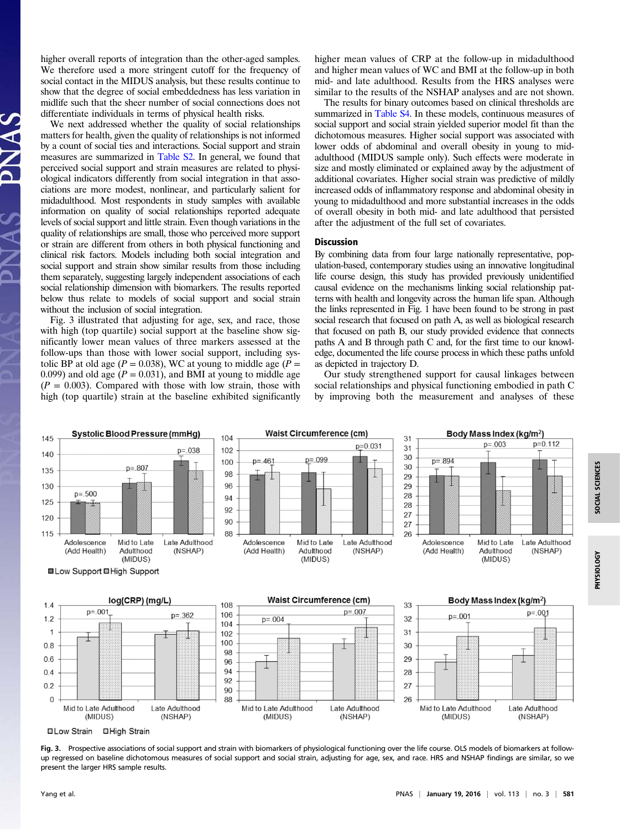higher overall reports of integration than the other-aged samples. We therefore used a more stringent cutoff for the frequency of social contact in the MIDUS analysis, but these results continue to show that the degree of social embeddedness has less variation in midlife such that the sheer number of social connections does not differentiate individuals in terms of physical health risks.

We next addressed whether the quality of social relationships matters for health, given the quality of relationships is not informed by a count of social ties and interactions. Social support and strain measures are summarized in [Table S2.](http://www.pnas.org/lookup/suppl/doi:10.1073/pnas.1511085112/-/DCSupplemental/pnas.201511085SI.pdf?targetid=nameddest=ST2) In general, we found that perceived social support and strain measures are related to physiological indicators differently from social integration in that associations are more modest, nonlinear, and particularly salient for midadulthood. Most respondents in study samples with available information on quality of social relationships reported adequate levels of social support and little strain. Even though variations in the quality of relationships are small, those who perceived more support or strain are different from others in both physical functioning and clinical risk factors. Models including both social integration and social support and strain show similar results from those including them separately, suggesting largely independent associations of each social relationship dimension with biomarkers. The results reported below thus relate to models of social support and social strain without the inclusion of social integration.

Fig. 3 illustrated that adjusting for age, sex, and race, those with high (top quartile) social support at the baseline show significantly lower mean values of three markers assessed at the follow-ups than those with lower social support, including systolic BP at old age ( $P = 0.038$ ), WC at young to middle age ( $\dot{P} =$ 0.099) and old age  $(P = 0.031)$ , and BMI at young to middle age  $(P = 0.003)$ . Compared with those with low strain, those with high (top quartile) strain at the baseline exhibited significantly

higher mean values of CRP at the follow-up in midadulthood and higher mean values of WC and BMI at the follow-up in both mid- and late adulthood. Results from the HRS analyses were similar to the results of the NSHAP analyses and are not shown.

The results for binary outcomes based on clinical thresholds are summarized in [Table S4](http://www.pnas.org/lookup/suppl/doi:10.1073/pnas.1511085112/-/DCSupplemental/pnas.201511085SI.pdf?targetid=nameddest=ST4). In these models, continuous measures of social support and social strain yielded superior model fit than the dichotomous measures. Higher social support was associated with lower odds of abdominal and overall obesity in young to midadulthood (MIDUS sample only). Such effects were moderate in size and mostly eliminated or explained away by the adjustment of additional covariates. Higher social strain was predictive of mildly increased odds of inflammatory response and abdominal obesity in young to midadulthood and more substantial increases in the odds of overall obesity in both mid- and late adulthood that persisted after the adjustment of the full set of covariates.

## **Discussion**

By combining data from four large nationally representative, population-based, contemporary studies using an innovative longitudinal life course design, this study has provided previously unidentified causal evidence on the mechanisms linking social relationship patterns with health and longevity across the human life span. Although the links represented in Fig. 1 have been found to be strong in past social research that focused on path A, as well as biological research that focused on path B, our study provided evidence that connects paths A and B through path C and, for the first time to our knowledge, documented the life course process in which these paths unfold as depicted in trajectory D.

Our study strengthened support for causal linkages between social relationships and physical functioning embodied in path C by improving both the measurement and analyses of these



Fig. 3. Prospective associations of social support and strain with biomarkers of physiological functioning over the life course. OLS models of biomarkers at followup regressed on baseline dichotomous measures of social support and social strain, adjusting for age, sex, and race. HRS and NSHAP findings are similar, so we present the larger HRS sample results.

PHYSIOLOGY

**PHYSIOLOGY**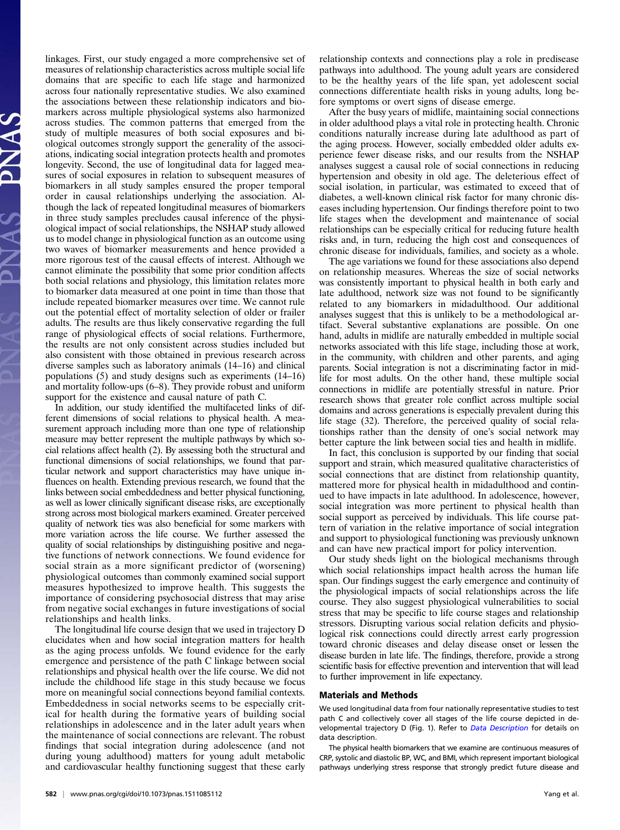linkages. First, our study engaged a more comprehensive set of measures of relationship characteristics across multiple social life domains that are specific to each life stage and harmonized across four nationally representative studies. We also examined the associations between these relationship indicators and biomarkers across multiple physiological systems also harmonized across studies. The common patterns that emerged from the study of multiple measures of both social exposures and biological outcomes strongly support the generality of the associations, indicating social integration protects health and promotes longevity. Second, the use of longitudinal data for lagged measures of social exposures in relation to subsequent measures of biomarkers in all study samples ensured the proper temporal order in causal relationships underlying the association. Although the lack of repeated longitudinal measures of biomarkers in three study samples precludes causal inference of the physiological impact of social relationships, the NSHAP study allowed us to model change in physiological function as an outcome using two waves of biomarker measurements and hence provided a more rigorous test of the causal effects of interest. Although we cannot eliminate the possibility that some prior condition affects both social relations and physiology, this limitation relates more to biomarker data measured at one point in time than those that include repeated biomarker measures over time. We cannot rule out the potential effect of mortality selection of older or frailer adults. The results are thus likely conservative regarding the full range of physiological effects of social relations. Furthermore, the results are not only consistent across studies included but also consistent with those obtained in previous research across diverse samples such as laboratory animals (14–16) and clinical populations (5) and study designs such as experiments (14–16) and mortality follow-ups (6–8). They provide robust and uniform support for the existence and causal nature of path C.

In addition, our study identified the multifaceted links of different dimensions of social relations to physical health. A measurement approach including more than one type of relationship measure may better represent the multiple pathways by which social relations affect health (2). By assessing both the structural and functional dimensions of social relationships, we found that particular network and support characteristics may have unique influences on health. Extending previous research, we found that the links between social embeddedness and better physical functioning, as well as lower clinically significant disease risks, are exceptionally strong across most biological markers examined. Greater perceived quality of network ties was also beneficial for some markers with more variation across the life course. We further assessed the quality of social relationships by distinguishing positive and negative functions of network connections. We found evidence for social strain as a more significant predictor of (worsening) physiological outcomes than commonly examined social support measures hypothesized to improve health. This suggests the importance of considering psychosocial distress that may arise from negative social exchanges in future investigations of social relationships and health links.

The longitudinal life course design that we used in trajectory D elucidates when and how social integration matters for health as the aging process unfolds. We found evidence for the early emergence and persistence of the path C linkage between social relationships and physical health over the life course. We did not include the childhood life stage in this study because we focus more on meaningful social connections beyond familial contexts. Embeddedness in social networks seems to be especially critical for health during the formative years of building social relationships in adolescence and in the later adult years when the maintenance of social connections are relevant. The robust findings that social integration during adolescence (and not during young adulthood) matters for young adult metabolic and cardiovascular healthy functioning suggest that these early

relationship contexts and connections play a role in predisease pathways into adulthood. The young adult years are considered to be the healthy years of the life span, yet adolescent social connections differentiate health risks in young adults, long before symptoms or overt signs of disease emerge.

After the busy years of midlife, maintaining social connections in older adulthood plays a vital role in protecting health. Chronic conditions naturally increase during late adulthood as part of the aging process. However, socially embedded older adults experience fewer disease risks, and our results from the NSHAP analyses suggest a causal role of social connections in reducing hypertension and obesity in old age. The deleterious effect of social isolation, in particular, was estimated to exceed that of diabetes, a well-known clinical risk factor for many chronic diseases including hypertension. Our findings therefore point to two life stages when the development and maintenance of social relationships can be especially critical for reducing future health risks and, in turn, reducing the high cost and consequences of chronic disease for individuals, families, and society as a whole.

The age variations we found for these associations also depend on relationship measures. Whereas the size of social networks was consistently important to physical health in both early and late adulthood, network size was not found to be significantly related to any biomarkers in midadulthood. Our additional analyses suggest that this is unlikely to be a methodological artifact. Several substantive explanations are possible. On one hand, adults in midlife are naturally embedded in multiple social networks associated with this life stage, including those at work, in the community, with children and other parents, and aging parents. Social integration is not a discriminating factor in midlife for most adults. On the other hand, these multiple social connections in midlife are potentially stressful in nature. Prior research shows that greater role conflict across multiple social domains and across generations is especially prevalent during this life stage (32). Therefore, the perceived quality of social relationships rather than the density of one's social network may better capture the link between social ties and health in midlife.

In fact, this conclusion is supported by our finding that social support and strain, which measured qualitative characteristics of social connections that are distinct from relationship quantity, mattered more for physical health in midadulthood and continued to have impacts in late adulthood. In adolescence, however, social integration was more pertinent to physical health than social support as perceived by individuals. This life course pattern of variation in the relative importance of social integration and support to physiological functioning was previously unknown and can have new practical import for policy intervention.

Our study sheds light on the biological mechanisms through which social relationships impact health across the human life span. Our findings suggest the early emergence and continuity of the physiological impacts of social relationships across the life course. They also suggest physiological vulnerabilities to social stress that may be specific to life course stages and relationship stressors. Disrupting various social relation deficits and physiological risk connections could directly arrest early progression toward chronic diseases and delay disease onset or lessen the disease burden in late life. The findings, therefore, provide a strong scientific basis for effective prevention and intervention that will lead to further improvement in life expectancy.

#### Materials and Methods

We used longitudinal data from four nationally representative studies to test path C and collectively cover all stages of the life course depicted in de-velopmental trajectory D (Fig. 1). Refer to [Data Description](http://www.pnas.org/lookup/suppl/doi:10.1073/pnas.1511085112/-/DCSupplemental/pnas.201511085SI.pdf?targetid=nameddest=STXT) for details on data description.

The physical health biomarkers that we examine are continuous measures of CRP, systolic and diastolic BP, WC, and BMI, which represent important biological pathways underlying stress response that strongly predict future disease and